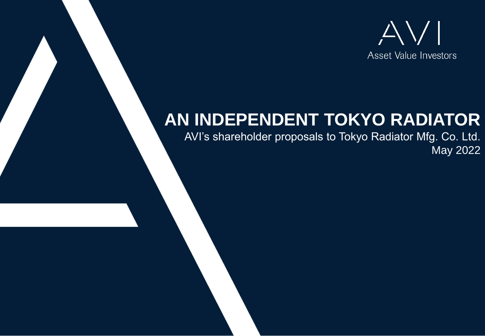

# **AN INDEPENDENT TOKYO RADIATOR**

AVI's shareholder proposals to Tokyo Radiator Mfg. Co. Ltd. May 2022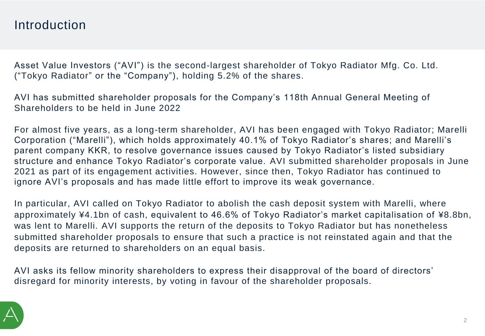### Introduction

Asset Value Investors ("AVI") is the second-largest shareholder of Tokyo Radiator Mfg. Co. Ltd. ("Tokyo Radiator" or the "Company"), holding 5.2% of the shares.

AVI has submitted shareholder proposals for the Company's 118th Annual General Meeting of Shareholders to be held in June 2022

For almost five years, as a long-term shareholder, AVI has been engaged with Tokyo Radiator; Marelli Corporation ("Marelli"), which holds approximately 40.1% of Tokyo Radiator's shares; and Marelli's parent company KKR, to resolve governance issues caused by Tokyo Radiator's listed subsidiary structure and enhance Tokyo Radiator's corporate value. AVI submitted shareholder proposals in June 2021 as part of its engagement activities. However, since then, Tokyo Radiator has continued to ignore AVI's proposals and has made little effort to improve its weak governance.

In particular, AVI called on Tokyo Radiator to abolish the cash deposit system with Marelli, where approximately ¥4.1bn of cash, equivalent to 46.6% of Tokyo Radiator's market capitalisation of ¥8.8bn, was lent to Marelli. AVI supports the return of the deposits to Tokyo Radiator but has nonetheless submitted shareholder proposals to ensure that such a practice is not reinstated again and that the deposits are returned to shareholders on an equal basis.

AVI asks its fellow minority shareholders to express their disapproval of the board of directors' disregard for minority interests, by voting in favour of the shareholder proposals.

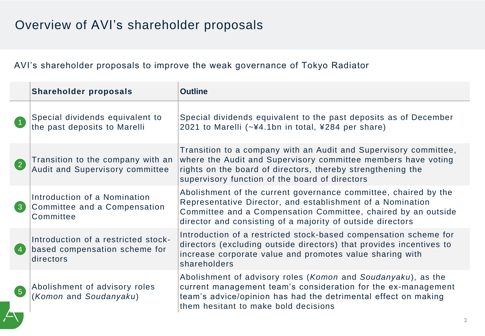### AVI's shareholder proposals to improve the weak governance of Tokyo Radiator

|                   | <b>Shareholder proposals</b>                                                      | <b>Outline</b>                                                                                                                                                                                                                                               |
|-------------------|-----------------------------------------------------------------------------------|--------------------------------------------------------------------------------------------------------------------------------------------------------------------------------------------------------------------------------------------------------------|
| $\blacksquare$    | Special dividends equivalent to<br>the past deposits to Marelli                   | Special dividends equivalent to the past deposits as of December<br>2021 to Marelli (~¥4.1bn in total, ¥284 per share)                                                                                                                                       |
| $\left( 2\right)$ | Transition to the company with an<br>Audit and Supervisory committee              | Transition to a company with an Audit and Supervisory committee,<br>where the Audit and Supervisory committee members have voting<br>rights on the board of directors, thereby strengthening the<br>supervisory function of the board of directors           |
| $\left(3\right)$  | Introduction of a Nomination<br>Committee and a Compensation<br>Committee         | Abolishment of the current governance committee, chaired by the<br>Representative Director, and establishment of a Nomination<br>Committee and a Compensation Committee, chaired by an outside<br>director and consisting of a majority of outside directors |
| (4)               | Introduction of a restricted stock-<br>based compensation scheme for<br>directors | Introduction of a restricted stock-based compensation scheme for<br>directors (excluding outside directors) that provides incentives to<br>increase corporate value and promotes value sharing with<br>shareholders                                          |
| $\left(5\right)$  | Abolishment of advisory roles<br>(Komon and Soudanyaku)                           | Abolishment of advisory roles (Komon and Soudanyaku), as the<br>current management team's consideration for the ex-management<br>team's advice/opinion has had the detrimental effect on making<br>them hesitant to make bold decisions                      |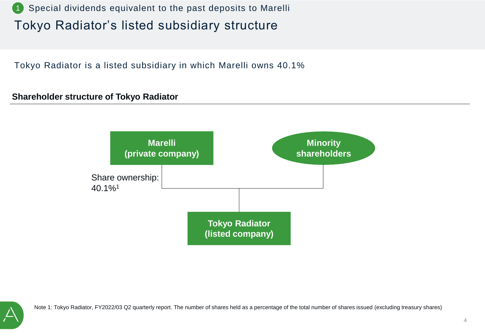

Tokyo Radiator is a listed subsidiary in which Marelli owns 40.1%

#### **Shareholder structure of Tokyo Radiator**

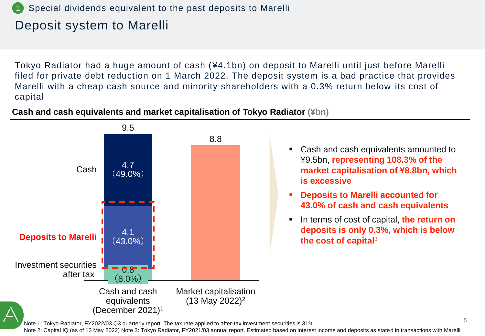#### Special dividends equivalent to the past deposits to Marelli

### Deposit system to Marelli

Tokyo Radiator had a huge amount of cash (¥4.1bn) on deposit to Marelli until just before Marelli filed for private debt reduction on 1 March 2022. The deposit system is a bad practice that provides Marelli with a cheap cash source and minority shareholders with a 0.3% return below its cost of capital



#### **Cash and cash equivalents and market capitalisation of Tokyo Radiator (¥bn)**

Note 1: Tokyo Radiator, FY2022/03 Q3 quarterly report. The tax rate applied to after-tax investment securities is 31%

Note 2: Capital IQ (as of 13 May 2022) Note 3: Tokyo Radiator, FY2021/03 annual report. Estimated based on interest income and deposits as stated in transactions with Marelli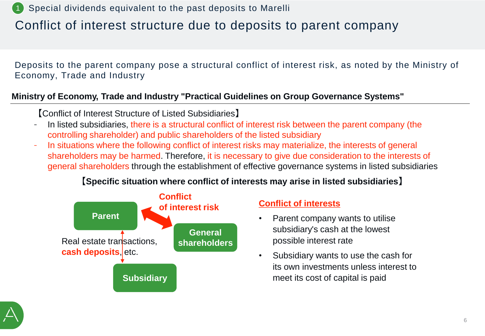1 Special dividends equivalent to the past deposits to Marelli

### Conflict of interest structure due to deposits to parent company

Deposits to the parent company pose a structural conflict of interest risk, as noted by the Ministry of Economy, Trade and Industry

#### **Ministry of Economy, Trade and Industry "Practical Guidelines on Group Governance Systems"**

【Conflict of Interest Structure of Listed Subsidiaries】

- In listed subsidiaries, there is a structural conflict of interest risk between the parent company (the controlling shareholder) and public shareholders of the listed subsidiary
- In situations where the following conflict of interest risks may materialize, the interests of general shareholders may be harmed. Therefore, it is necessary to give due consideration to the interests of general shareholders through the establishment of effective governance systems in listed subsidiaries

#### **【Specific situation where conflict of interests may arise in listed subsidiaries】**



#### **Conflict of interests**

- Parent company wants to utilise subsidiary's cash at the lowest possible interest rate
- Subsidiary wants to use the cash for its own investments unless interest to meet its cost of capital is paid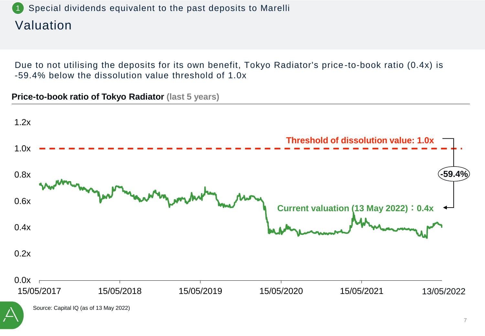#### Valuation 1 Special dividends equivalent to the past deposits to Marelli

Due to not utilising the deposits for its own benefit, Tokyo Radiator's price -to-book ratio (0.4x) is -59.4% below the dissolution value threshold of 1.0x

**Price-to-book ratio of Tokyo Radiator (last 5 years)**

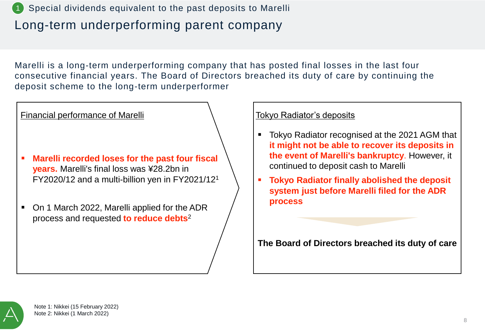### Long-term underperforming parent company Special dividends equivalent to the past deposits to Marelli

Marelli is a long-term underperforming company that has posted final losses in the last four consecutive financial years. The Board of Directors breached its duty of care by continuing the deposit scheme to the long-term underperformer



- Tokyo Radiator recognised at the 2021 AGM that **it might not be able to recover its deposits in the event of Marelli's bankruptcy**. However, it continued to deposit cash to Marelli
- **Tokyo Radiator finally abolished the deposit system just before Marelli filed for the ADR process**

**The Board of Directors breached its duty of care**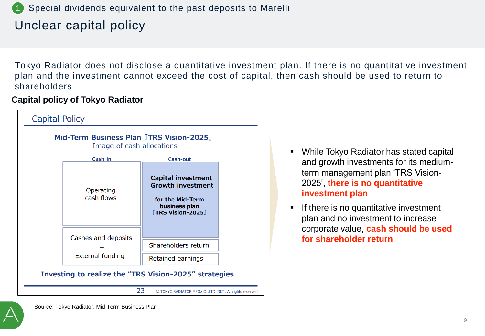#### Special dividends equivalent to the past deposits to Marelli

### Unclear capital policy

Tokyo Radiator does not disclose a quantitative investment plan. If there is no quantitative investment plan and the investment cannot exceed the cost of capital, then cash should be used to return to shareholders

#### **Capital policy of Tokyo Radiator**



- While Tokyo Radiator has stated capital and growth investments for its mediumterm management plan 'TRS Vision-2025', **there is no quantitative investment plan**
- If there is no quantitative investment plan and no investment to increase corporate value, **cash should be used for shareholder return**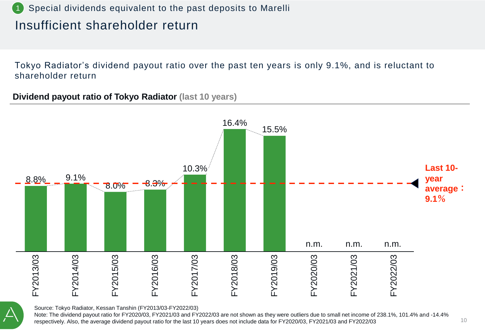#### Special dividends equivalent to the past deposits to Marelli

### Insufficient shareholder return

Tokyo Radiator's dividend payout ratio over the past ten years is only 9.1%, and is reluctant to shareholder return

**Dividend payout ratio of Tokyo Radiator (last 10 years)**



Source: Tokyo Radiator, Kessan Tanshin (FY2013/03-FY2022/03)

Note: The dividend payout ratio for FY2020/03, FY2021/03 and FY2022/03 are not shown as they were outliers due to small net income of 238.1%, 101.4% and -14.4% respectively. Also, the average dividend payout ratio for the last 10 years does not include data for FY2020/03, FY2021/03 and FY2022/03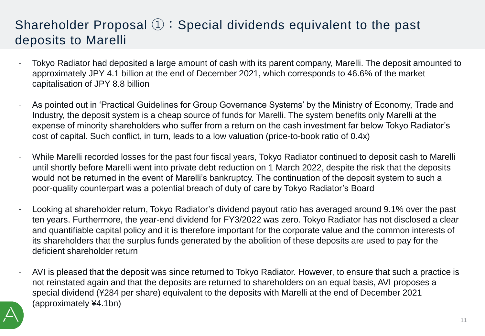### Shareholder Proposal ①:Special dividends equivalent to the past deposits to Marelli

- Tokyo Radiator had deposited a large amount of cash with its parent company, Marelli. The deposit amounted to approximately JPY 4.1 billion at the end of December 2021, which corresponds to 46.6% of the market capitalisation of JPY 8.8 billion
- As pointed out in 'Practical Guidelines for Group Governance Systems' by the Ministry of Economy, Trade and Industry, the deposit system is a cheap source of funds for Marelli. The system benefits only Marelli at the expense of minority shareholders who suffer from a return on the cash investment far below Tokyo Radiator's cost of capital. Such conflict, in turn, leads to a low valuation (price-to-book ratio of 0.4x)
- While Marelli recorded losses for the past four fiscal years, Tokyo Radiator continued to deposit cash to Marelli until shortly before Marelli went into private debt reduction on 1 March 2022, despite the risk that the deposits would not be returned in the event of Marelli's bankruptcy. The continuation of the deposit system to such a poor-quality counterpart was a potential breach of duty of care by Tokyo Radiator's Board
- Looking at shareholder return, Tokyo Radiator's dividend payout ratio has averaged around 9.1% over the past ten years. Furthermore, the year-end dividend for FY3/2022 was zero. Tokyo Radiator has not disclosed a clear and quantifiable capital policy and it is therefore important for the corporate value and the common interests of its shareholders that the surplus funds generated by the abolition of these deposits are used to pay for the deficient shareholder return
- AVI is pleased that the deposit was since returned to Tokyo Radiator. However, to ensure that such a practice is not reinstated again and that the deposits are returned to shareholders on an equal basis, AVI proposes a special dividend (¥284 per share) equivalent to the deposits with Marelli at the end of December 2021 (approximately ¥4.1bn)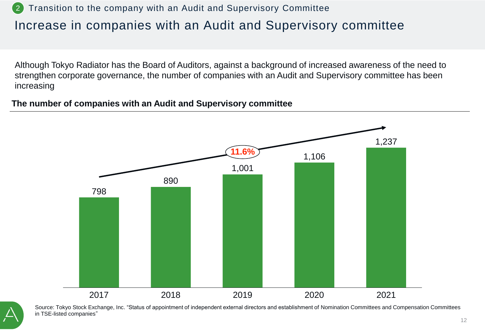## Increase in companies with an Audit and Supervisory committee 2 Transition to the company with an Audit and Supervisory Committee

Although Tokyo Radiator has the Board of Auditors, against a background of increased awareness of the need to strengthen corporate governance, the number of companies with an Audit and Supervisory committee has been increasing

#### **The number of companies with an Audit and Supervisory committee**



Source: Tokyo Stock Exchange, Inc. "Status of appointment of independent external directors and establishment of Nomination Committees and Compensation Committees in TSE-listed companies"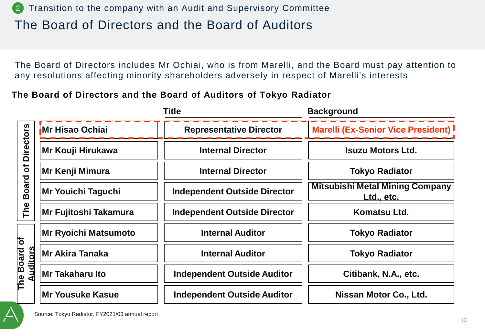The Board of Directors includes Mr Ochiai, who is from Marelli, and the Board must pay attention to any resolutions affecting minority shareholders adversely in respect of Marelli's interests

**The Board of Directors and the Board of Auditors of Tokyo Radiator**

|                                                     |                             | <b>Title</b>                        | <b>Background</b>                                           |  |
|-----------------------------------------------------|-----------------------------|-------------------------------------|-------------------------------------------------------------|--|
| <b>Directors</b><br>$\delta$<br><b>Board</b><br>The | Mr Hisao Ochiai             | <b>Representative Director</b>      | <b>Marelli (Ex-Senior Vice President)</b>                   |  |
|                                                     | Mr Kouji Hirukawa           | <b>Internal Director</b>            | <b>Isuzu Motors Ltd.</b>                                    |  |
|                                                     | Mr Kenji Mimura             | <b>Internal Director</b>            | <b>Tokyo Radiator</b>                                       |  |
|                                                     | Mr Youichi Taguchi          | <b>Independent Outside Director</b> | <b>Mitsubishi Metal Mining Company</b><br><u>Ltd., etc.</u> |  |
|                                                     | Mr Fujitoshi Takamura       | <b>Independent Outside Director</b> | Komatsu Ltd.                                                |  |
| $\overline{\sigma}$<br>uditors<br>The Board         | <b>Mr Ryoichi Matsumoto</b> | <b>Internal Auditor</b>             | <b>Tokyo Radiator</b>                                       |  |
|                                                     | <b>Mr Akira Tanaka</b>      | <b>Internal Auditor</b>             | <b>Tokyo Radiator</b>                                       |  |
|                                                     | Mr Takaharu Ito             | <b>Independent Outside Auditor</b>  | Citibank, N.A., etc.                                        |  |
|                                                     | Mr Yousuke Kasue            | <b>Independent Outside Auditor</b>  | Nissan Motor Co., Ltd.                                      |  |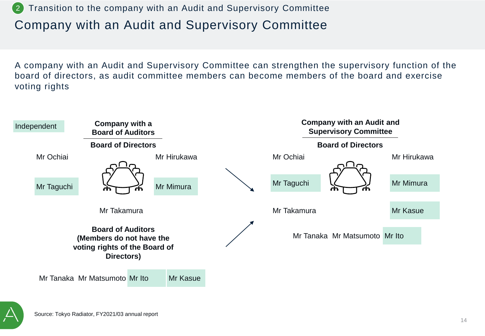#### Company with an Audit and Supervisory Committee 2 Transition to the company with an Audit and Supervisory Committee

A company with an Audit and Supervisory Committee can strengthen the supervisory function of the board of directors, as audit committee members can become members of the board and exercise voting rights



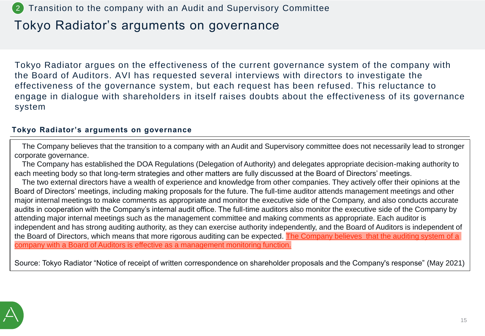#### 2 Transition to the company with an Audit and Supervisory Committee

### Tokyo Radiator's arguments on governance

Tokyo Radiator argues on the effectiveness of the current governance system of the company with the Board of Auditors. AVI has requested several interviews with directors to investigate the effectiveness of the governance system, but each request has been refused. This reluctance to engage in dialogue with shareholders in itself raises doubts about the effectiveness of its governance system

#### **Tokyo Radiator's arguments on governance**

The Company believes that the transition to a company with an Audit and Supervisory committee does not necessarily lead to stronger corporate governance.

The Company has established the DOA Regulations (Delegation of Authority) and delegates appropriate decision-making authority to each meeting body so that long-term strategies and other matters are fully discussed at the Board of Directors' meetings.

The two external directors have a wealth of experience and knowledge from other companies. They actively offer their opinions at the Board of Directors' meetings, including making proposals for the future. The full-time auditor attends management meetings and other major internal meetings to make comments as appropriate and monitor the executive side of the Company, and also conducts accurate audits in cooperation with the Company's internal audit office. The full-time auditors also monitor the executive side of the Company by attending major internal meetings such as the management committee and making comments as appropriate. Each auditor is independent and has strong auditing authority, as they can exercise authority independently, and the Board of Auditors is independent of the Board of Directors, which means that more rigorous auditing can be expected. The Company believes that the auditing system of a company with a Board of Auditors is effective as a management monitoring function.

Source: Tokyo Radiator "Notice of receipt of written correspondence on shareholder proposals and the Company's response" (May 2021)

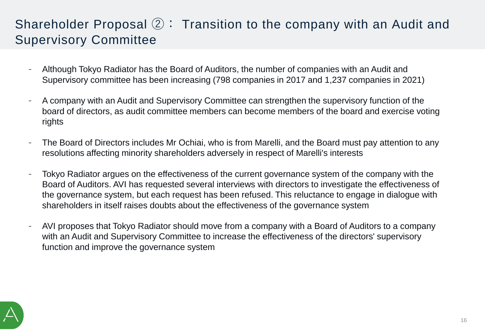### Shareholder Proposal ②: Transition to the company with an Audit and Supervisory Committee

- Although Tokyo Radiator has the Board of Auditors, the number of companies with an Audit and Supervisory committee has been increasing (798 companies in 2017 and 1,237 companies in 2021)
- A company with an Audit and Supervisory Committee can strengthen the supervisory function of the board of directors, as audit committee members can become members of the board and exercise voting rights
- The Board of Directors includes Mr Ochiai, who is from Marelli, and the Board must pay attention to any resolutions affecting minority shareholders adversely in respect of Marelli's interests
- Tokyo Radiator argues on the effectiveness of the current governance system of the company with the Board of Auditors. AVI has requested several interviews with directors to investigate the effectiveness of the governance system, but each request has been refused. This reluctance to engage in dialogue with shareholders in itself raises doubts about the effectiveness of the governance system
- AVI proposes that Tokyo Radiator should move from a company with a Board of Auditors to a company with an Audit and Supervisory Committee to increase the effectiveness of the directors' supervisory function and improve the governance system

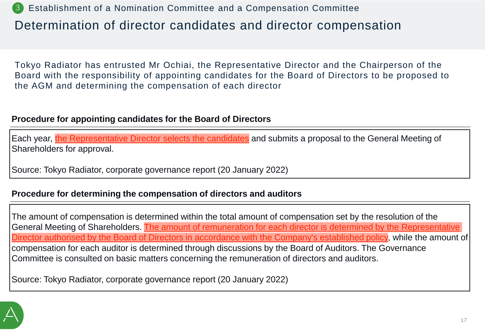Determination of director candidates and director compensation 3 Establishment of a Nomination Committee and a Compensation Committee

Tokyo Radiator has entrusted Mr Ochiai, the Representative Director and the Chairperson of the Board with the responsibility of appointing candidates for the Board of Directors to be proposed to the AGM and determining the compensation of each director

#### **Procedure for appointing candidates for the Board of Directors**

Each year, the Representative Director selects the candidates and submits a proposal to the General Meeting of Shareholders for approval.

Source: Tokyo Radiator, corporate governance report (20 January 2022)

#### **Procedure for determining the compensation of directors and auditors**

The amount of compensation is determined within the total amount of compensation set by the resolution of the General Meeting of Shareholders. The amount of remuneration for each director is determined by the Representative Director authorised by the Board of Directors in accordance with the Company's established policy, while the amount of compensation for each auditor is determined through discussions by the Board of Auditors. The Governance Committee is consulted on basic matters concerning the remuneration of directors and auditors.

Source: Tokyo Radiator, corporate governance report (20 January 2022)

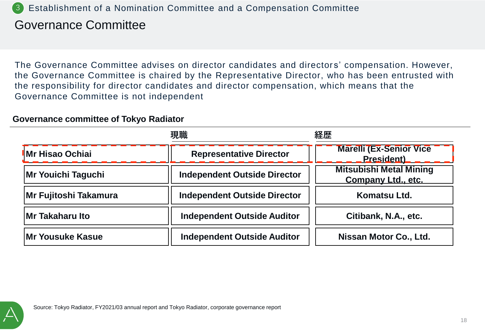#### 3 Establishment of a Nomination Committee and a Compensation Committee

### Governance Committee

The Governance Committee advises on director candidates and director s' compensation. However, the Governance Committee is chaired by the Representative Director, who has been entrusted with the responsibility for director candidates and director compensation, which means that the Governance Committee is not independent

#### **Governance committee of Tokyo Radiator**

| 現職                        |                                     | 経歴                                                          |  |
|---------------------------|-------------------------------------|-------------------------------------------------------------|--|
| Mr Hisao Ochiai           | <b>Representative Director</b>      | <b>Marelli (Ex-Senior Vice</b><br><b>President</b> )        |  |
| <b>Mr Youichi Taguchi</b> | <b>Independent Outside Director</b> | <b>Mitsubishi Metal Mining</b><br><b>Company Ltd., etc.</b> |  |
| Mr Fujitoshi Takamura     | <b>Independent Outside Director</b> | Komatsu Ltd.                                                |  |
| <b>Mr Takaharu Ito</b>    | <b>Independent Outside Auditor</b>  | Citibank, N.A., etc.                                        |  |
| <b>Mr Yousuke Kasue</b>   | <b>Independent Outside Auditor</b>  | Nissan Motor Co., Ltd.                                      |  |

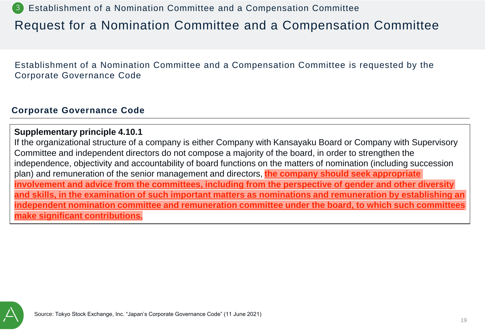3 Establishment of a Nomination Committee and a Compensation Committee

### Request for a Nomination Committee and a Compensation Committee

Establishment of a Nomination Committee and a Compensation Committee is requested by the Corporate Governance Code

#### **Corporate Governance Code**

#### **Supplementary principle 4.10.1**

If the organizational structure of a company is either Company with Kansayaku Board or Company with Supervisory Committee and independent directors do not compose a majority of the board, in order to strengthen the independence, objectivity and accountability of board functions on the matters of nomination (including succession plan) and remuneration of the senior management and directors, **the company should seek appropriate involvement and advice from the committees, including from the perspective of gender and other diversity and skills, in the examination of such important matters as nominations and remuneration by establishing an independent nomination committee and remuneration committee under the board, to which such committees make significant contributions.**

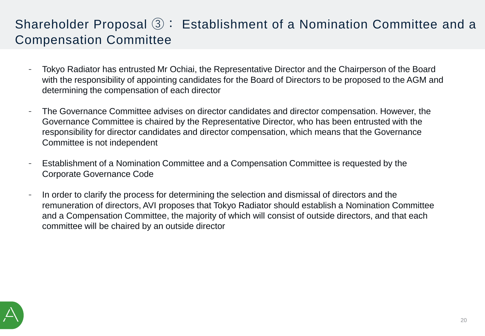### Shareholder Proposal 3: Establishment of a Nomination Committee and a Compensation Committee

- Tokyo Radiator has entrusted Mr Ochiai, the Representative Director and the Chairperson of the Board with the responsibility of appointing candidates for the Board of Directors to be proposed to the AGM and determining the compensation of each director
- The Governance Committee advises on director candidates and director compensation. However, the Governance Committee is chaired by the Representative Director, who has been entrusted with the responsibility for director candidates and director compensation, which means that the Governance Committee is not independent
- Establishment of a Nomination Committee and a Compensation Committee is requested by the Corporate Governance Code
- In order to clarify the process for determining the selection and dismissal of directors and the remuneration of directors, AVI proposes that Tokyo Radiator should establish a Nomination Committee and a Compensation Committee, the majority of which will consist of outside directors, and that each committee will be chaired by an outside director

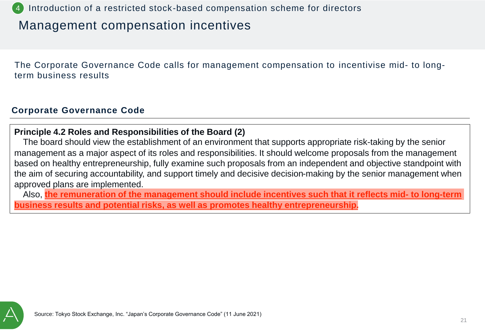Introduction of a restricted stock-based compensation scheme for directors

### Management compensation incentives

The Corporate Governance Code calls for management compensation to incentivise mid- to longterm business results

#### **Corporate Governance Code**

#### **Principle 4.2 Roles and Responsibilities of the Board (2)**

The board should view the establishment of an environment that supports appropriate risk-taking by the senior management as a major aspect of its roles and responsibilities. It should welcome proposals from the management based on healthy entrepreneurship, fully examine such proposals from an independent and objective standpoint with the aim of securing accountability, and support timely and decisive decision-making by the senior management when approved plans are implemented.

Also, **the remuneration of the management should include incentives such that it reflects mid- to long-term business results and potential risks, as well as promotes healthy entrepreneurship.**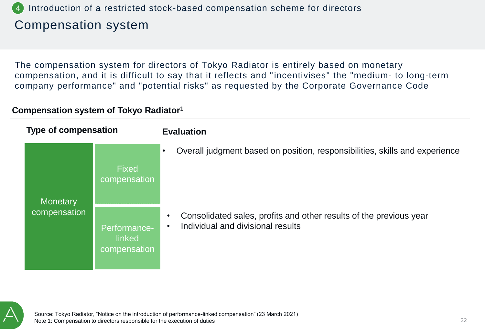#### Compensation system 4 Introduction of a restricted stock-based compensation scheme for directors

The compensation system for directors of Tokyo Radiator is entirely based on monetary compensation, and it is difficult to say that it reflects and "incentivises" the "medium- to long-term company performance" and "potential risks" as requested by the Corporate Governance Code

#### **Compensation system of Tokyo Radiator<sup>1</sup>**

| <b>Type of compensation</b> |                                        | <b>Evaluation</b>                                                                                       |  |
|-----------------------------|----------------------------------------|---------------------------------------------------------------------------------------------------------|--|
| <b>Monetary</b>             | <b>Fixed</b><br>compensation           | Overall judgment based on position, responsibilities, skills and experience<br>$\bullet$                |  |
| compensation                | Performance-<br>linked<br>compensation | Consolidated sales, profits and other results of the previous year<br>Individual and divisional results |  |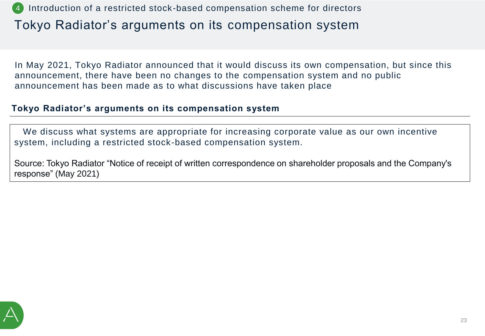Tokyo Radiator's arguments on its compensation system 4 Introduction of a restricted stock-based compensation scheme for directors

In May 2021, Tokyo Radiator announced that it would discuss its own compensation, but since this announcement, there have been no changes to the compensation system and no public announcement has been made as to what discussions have taken place

#### **Tokyo Radiator's arguments on its compensation system**

We discuss what systems are appropriate for increasing corporate value as our own incentive system, including a restricted stock-based compensation system.

Source: Tokyo Radiator "Notice of receipt of written correspondence on shareholder proposals and the Company's response" (May 2021)

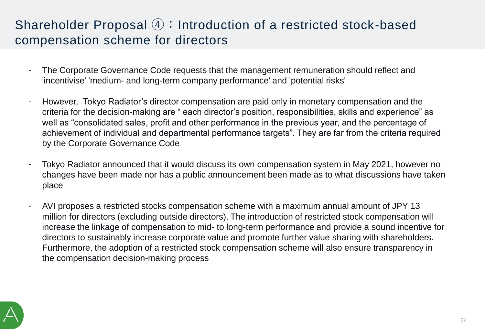### Shareholder Proposal ④:Introduction of a restricted stock-based compensation scheme for directors

- The Corporate Governance Code requests that the management remuneration should reflect and 'incentivise' 'medium- and long-term company performance' and 'potential risks'
- However, Tokyo Radiator's director compensation are paid only in monetary compensation and the criteria for the decision-making are " each director's position, responsibilities, skills and experience" as well as "consolidated sales, profit and other performance in the previous year, and the percentage of achievement of individual and departmental performance targets". They are far from the criteria required by the Corporate Governance Code
- Tokyo Radiator announced that it would discuss its own compensation system in May 2021, however no changes have been made nor has a public announcement been made as to what discussions have taken place
- AVI proposes a restricted stocks compensation scheme with a maximum annual amount of JPY 13 million for directors (excluding outside directors). The introduction of restricted stock compensation will increase the linkage of compensation to mid- to long-term performance and provide a sound incentive for directors to sustainably increase corporate value and promote further value sharing with shareholders. Furthermore, the adoption of a restricted stock compensation scheme will also ensure transparency in the compensation decision-making process

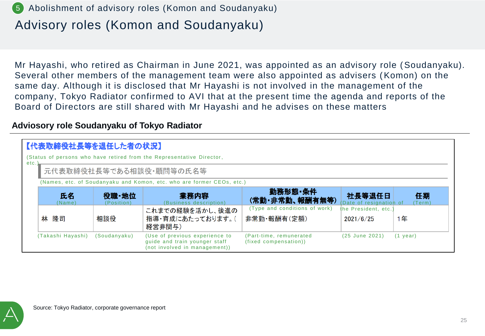### 5 Abolishment of advisory roles (Komon and Soudanyaku)

### Advisory roles (Komon and Soudanyaku)

Mr Hayashi, who retired as Chairman in June 2021, was appointed as an advisory role (Soudanyaku). Several other members of the management team were also appointed as advisers (Komon) on the same day. Although it is disclosed that Mr Hayashi is not involved in the management of the company, Tokyo Radiator confirmed to AVI that at the present time the agenda and reports of the Board of Directors are still shared with Mr Hayashi and he advises on these matters

#### **Adviosory role Soudanyaku of Tokyo Radiator**

|      | 【代表取締役社長等を退任した者の状況】 |                                                                       |                                                                                                  |                                                  |                                  |              |
|------|---------------------|-----------------------------------------------------------------------|--------------------------------------------------------------------------------------------------|--------------------------------------------------|----------------------------------|--------------|
| etc. |                     | (Status of persons who have retired from the Representative Director, |                                                                                                  |                                                  |                                  |              |
|      |                     | 元代表取締役社長等である相談役・顧問等の氏名等                                               |                                                                                                  |                                                  |                                  |              |
|      |                     |                                                                       | (Names, etc. of Soudanyaku and Komon, etc. who are former CEOs, etc.)                            |                                                  |                                  |              |
|      | 氏名<br>(Name)        | 役職·地位<br>(Position)                                                   | 業務内容<br>(Business description)                                                                   | 勤務形態・条件<br>(常勤・非常勤、報酬有無等)                        | 社長等退任日<br>Date of resignation of | 任期<br>(Term) |
|      |                     |                                                                       | これまでの経験を活かし、後進の                                                                                  | (Type and conditions of work)                    | the President, etc.              |              |
|      | 林 隆司                | 相談役                                                                   | 指導・育成にあたっております。(<br>経営非関与)                                                                       | 非常勤 報酬有(定額)                                      | 2021/6/25                        | 1年           |
|      | (Takashi Hayashi)   | (Soudanyaku)                                                          | (Use of previous experience to<br>guide and train younger staff<br>(not involved in management)) | (Part-time, remunerated<br>(fixed compensation)) | (25 June 2021)                   | $(1$ year)   |

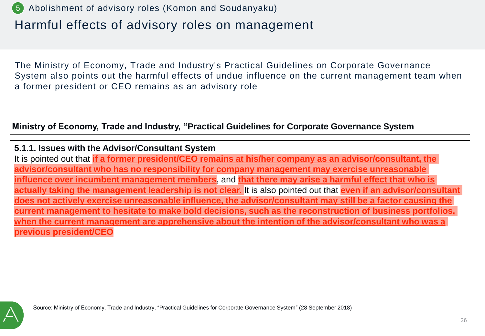### Harmful effects of advisory roles on management 5 Abolishment of advisory roles (Komon and Soudanyaku)

The Ministry of Economy, Trade and Industry's Practical Guidelines on Corporate Governance System also points out the harmful effects of undue influence on the current management team when a former president or CEO remains as an advisory role

#### **Ministry of Economy, Trade and Industry, "Practical Guidelines for Corporate Governance System**

**5.1.1. Issues with the Advisor/Consultant System** It is pointed out that **if a former president/CEO remains at his/her company as an advisor/consultant, the advisor/consultant who has no responsibility for company management may exercise unreasonable influence over incumbent management members**, and **that there may arise a harmful effect that who is actually taking the management leadership is not clear.** It is also pointed out that **even if an advisor/consultant does not actively exercise unreasonable influence, the advisor/consultant may still be a factor causing the current management to hesitate to make bold decisions, such as the reconstruction of business portfolios, when the current management are apprehensive about the intention of the advisor/consultant who was a previous president/CEO**

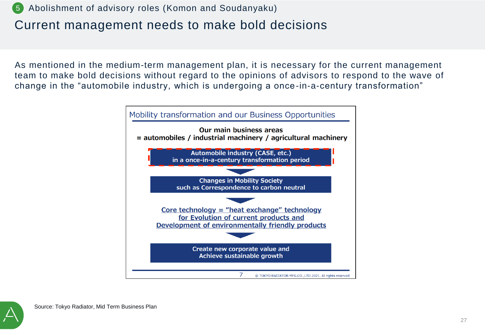

### Current management needs to make bold decisions

As mentioned in the medium-term management plan, it is necessary for the current management team to make bold decisions without regard to the opinions of advisors to respond to the wave of change in the "automobile industry, which is undergoing a once-in-a-century transformation"



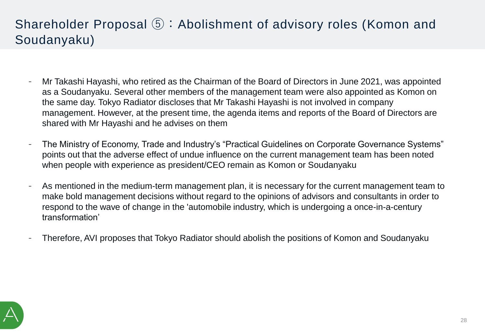### Shareholder Proposal ⑤:Abolishment of advisory roles (Komon and Soudanyaku)

- Mr Takashi Hayashi, who retired as the Chairman of the Board of Directors in June 2021, was appointed as a Soudanyaku. Several other members of the management team were also appointed as Komon on the same day. Tokyo Radiator discloses that Mr Takashi Hayashi is not involved in company management. However, at the present time, the agenda items and reports of the Board of Directors are shared with Mr Hayashi and he advises on them
- The Ministry of Economy, Trade and Industry's "Practical Guidelines on Corporate Governance Systems" points out that the adverse effect of undue influence on the current management team has been noted when people with experience as president/CEO remain as Komon or Soudanyaku
- As mentioned in the medium-term management plan, it is necessary for the current management team to make bold management decisions without regard to the opinions of advisors and consultants in order to respond to the wave of change in the 'automobile industry, which is undergoing a once-in-a-century transformation'
- Therefore, AVI proposes that Tokyo Radiator should abolish the positions of Komon and Soudanyaku